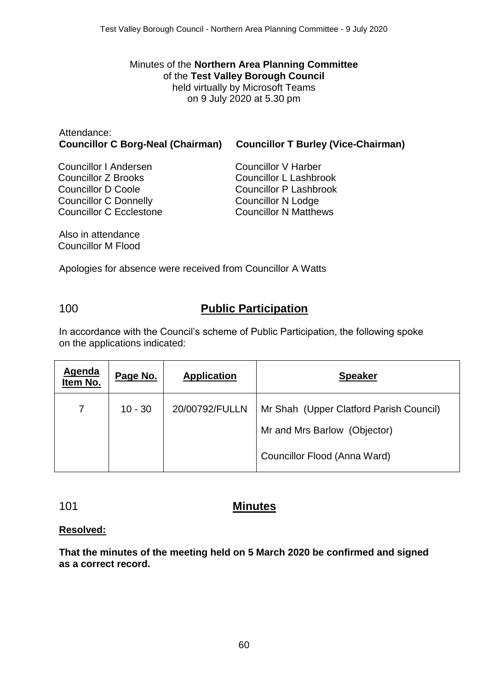Minutes of the **Northern Area Planning Committee** of the **Test Valley Borough Council** held virtually by Microsoft Teams on 9 July 2020 at 5.30 pm

| Attendance:<br><b>Councillor C Borg-Neal (Chairman)</b> | <b>Councillor T Burley (Vice-Chairman)</b> |  |
|---------------------------------------------------------|--------------------------------------------|--|
| Councillor I Andersen                                   | Councillor V Harber                        |  |
| Councillor 7 Drooks                                     | Councillor L. Loophrook                    |  |

Councillor Z Brooks Councillor D Coole Councillor C Donnelly Councillor C Ecclestone Councillor L Lashbrook Councillor P Lashbrook Councillor N Lodge Councillor N Matthews

Also in attendance Councillor M Flood

Apologies for absence were received from Councillor A Watts

## 100 **Public Participation**

In accordance with the Council's scheme of Public Participation, the following spoke on the applications indicated:

| <b>Agenda</b><br>Item No. | Page No.  | <b>Application</b> | <b>Speaker</b>                          |
|---------------------------|-----------|--------------------|-----------------------------------------|
| 7                         | $10 - 30$ | 20/00792/FULLN     | Mr Shah (Upper Clatford Parish Council) |
|                           |           |                    | Mr and Mrs Barlow (Objector)            |
|                           |           |                    | Councillor Flood (Anna Ward)            |

## 101 **Minutes**

#### **Resolved:**

**That the minutes of the meeting held on 5 March 2020 be confirmed and signed as a correct record.**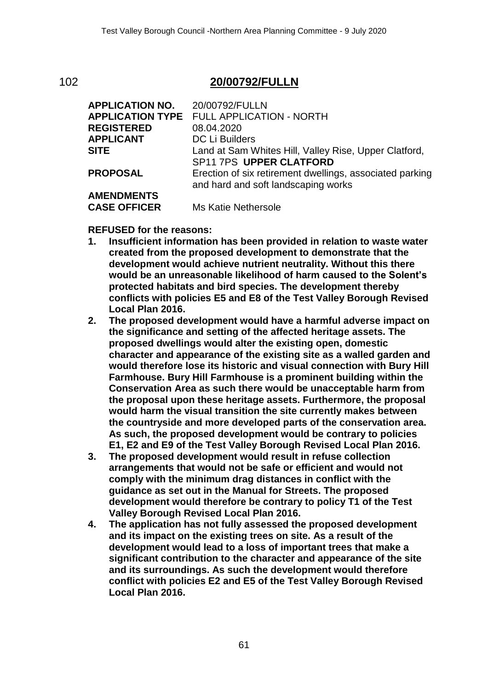## 102 **20/00792/FULLN**

| <b>APPLICATION NO.</b> | 20/00792/FULLN                                           |
|------------------------|----------------------------------------------------------|
|                        | <b>APPLICATION TYPE FULL APPLICATION - NORTH</b>         |
| <b>REGISTERED</b>      | 08.04.2020                                               |
| <b>APPLICANT</b>       | DC Li Builders                                           |
| <b>SITE</b>            | Land at Sam Whites Hill, Valley Rise, Upper Clatford,    |
|                        | SP11 7PS UPPER CLATFORD                                  |
| <b>PROPOSAL</b>        | Erection of six retirement dwellings, associated parking |
|                        | and hard and soft landscaping works                      |
| <b>AMENDMENTS</b>      |                                                          |
| <b>CASE OFFICER</b>    | Ms Katie Nethersole                                      |

**REFUSED for the reasons:**

- **1. Insufficient information has been provided in relation to waste water created from the proposed development to demonstrate that the development would achieve nutrient neutrality. Without this there would be an unreasonable likelihood of harm caused to the Solent's protected habitats and bird species. The development thereby conflicts with policies E5 and E8 of the Test Valley Borough Revised Local Plan 2016.**
- **2. The proposed development would have a harmful adverse impact on the significance and setting of the affected heritage assets. The proposed dwellings would alter the existing open, domestic character and appearance of the existing site as a walled garden and would therefore lose its historic and visual connection with Bury Hill Farmhouse. Bury Hill Farmhouse is a prominent building within the Conservation Area as such there would be unacceptable harm from the proposal upon these heritage assets. Furthermore, the proposal would harm the visual transition the site currently makes between the countryside and more developed parts of the conservation area. As such, the proposed development would be contrary to policies E1, E2 and E9 of the Test Valley Borough Revised Local Plan 2016.**
- **3. The proposed development would result in refuse collection arrangements that would not be safe or efficient and would not comply with the minimum drag distances in conflict with the guidance as set out in the Manual for Streets. The proposed development would therefore be contrary to policy T1 of the Test Valley Borough Revised Local Plan 2016.**
- **4. The application has not fully assessed the proposed development and its impact on the existing trees on site. As a result of the development would lead to a loss of important trees that make a significant contribution to the character and appearance of the site and its surroundings. As such the development would therefore conflict with policies E2 and E5 of the Test Valley Borough Revised Local Plan 2016.**